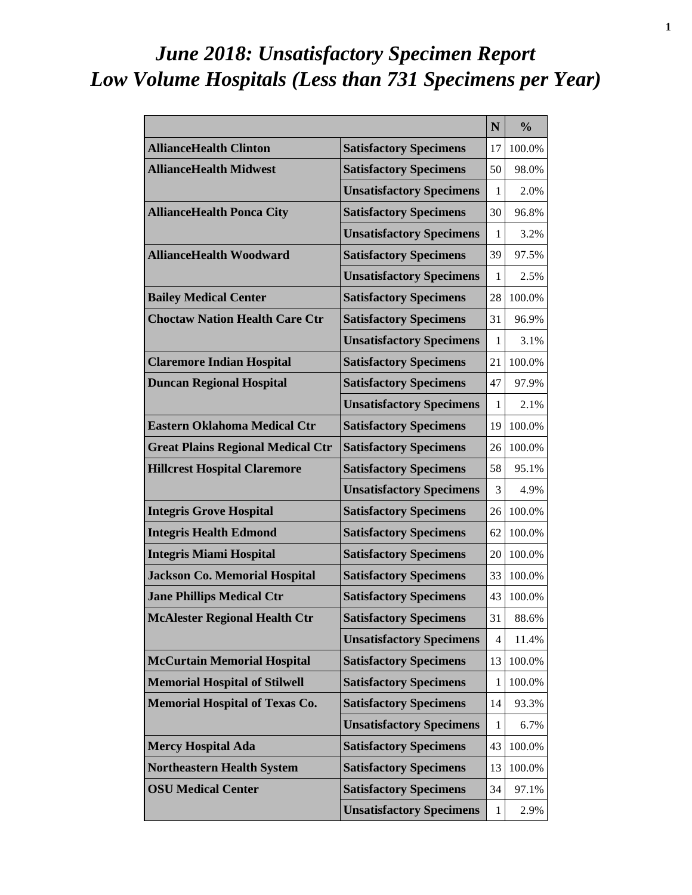# *June 2018: Unsatisfactory Specimen Report Low Volume Hospitals (Less than 731 Specimens per Year)*

|                                          |                                 | N            | $\frac{0}{0}$ |
|------------------------------------------|---------------------------------|--------------|---------------|
| <b>AllianceHealth Clinton</b>            | <b>Satisfactory Specimens</b>   | 17           | 100.0%        |
| <b>AllianceHealth Midwest</b>            | <b>Satisfactory Specimens</b>   | 50           | 98.0%         |
|                                          | <b>Unsatisfactory Specimens</b> | 1            | 2.0%          |
| <b>AllianceHealth Ponca City</b>         | <b>Satisfactory Specimens</b>   | 30           | 96.8%         |
|                                          | <b>Unsatisfactory Specimens</b> | 1            | 3.2%          |
| <b>AllianceHealth Woodward</b>           | <b>Satisfactory Specimens</b>   | 39           | 97.5%         |
|                                          | <b>Unsatisfactory Specimens</b> | 1            | 2.5%          |
| <b>Bailey Medical Center</b>             | <b>Satisfactory Specimens</b>   | 28           | 100.0%        |
| <b>Choctaw Nation Health Care Ctr</b>    | <b>Satisfactory Specimens</b>   | 31           | 96.9%         |
|                                          | <b>Unsatisfactory Specimens</b> | 1            | 3.1%          |
| <b>Claremore Indian Hospital</b>         | <b>Satisfactory Specimens</b>   | 21           | 100.0%        |
| <b>Duncan Regional Hospital</b>          | <b>Satisfactory Specimens</b>   | 47           | 97.9%         |
|                                          | <b>Unsatisfactory Specimens</b> | 1            | 2.1%          |
| <b>Eastern Oklahoma Medical Ctr</b>      | <b>Satisfactory Specimens</b>   | 19           | 100.0%        |
| <b>Great Plains Regional Medical Ctr</b> | <b>Satisfactory Specimens</b>   | 26           | 100.0%        |
| <b>Hillcrest Hospital Claremore</b>      | <b>Satisfactory Specimens</b>   | 58           | 95.1%         |
|                                          | <b>Unsatisfactory Specimens</b> | 3            | 4.9%          |
| <b>Integris Grove Hospital</b>           | <b>Satisfactory Specimens</b>   | 26           | 100.0%        |
| <b>Integris Health Edmond</b>            | <b>Satisfactory Specimens</b>   | 62           | 100.0%        |
| <b>Integris Miami Hospital</b>           | <b>Satisfactory Specimens</b>   | 20           | 100.0%        |
| <b>Jackson Co. Memorial Hospital</b>     | <b>Satisfactory Specimens</b>   | 33           | 100.0%        |
| <b>Jane Phillips Medical Ctr</b>         | <b>Satisfactory Specimens</b>   | 43           | 100.0%        |
| <b>McAlester Regional Health Ctr</b>     | <b>Satisfactory Specimens</b>   | 31           | 88.6%         |
|                                          | <b>Unsatisfactory Specimens</b> | 4            | 11.4%         |
| <b>McCurtain Memorial Hospital</b>       | <b>Satisfactory Specimens</b>   | 13           | 100.0%        |
| <b>Memorial Hospital of Stilwell</b>     | <b>Satisfactory Specimens</b>   | 1            | 100.0%        |
| <b>Memorial Hospital of Texas Co.</b>    | <b>Satisfactory Specimens</b>   | 14           | 93.3%         |
|                                          | <b>Unsatisfactory Specimens</b> | $\mathbf{1}$ | 6.7%          |
| <b>Mercy Hospital Ada</b>                | <b>Satisfactory Specimens</b>   | 43           | 100.0%        |
| <b>Northeastern Health System</b>        | <b>Satisfactory Specimens</b>   | 13           | 100.0%        |
| <b>OSU Medical Center</b>                | <b>Satisfactory Specimens</b>   | 34           | 97.1%         |
|                                          | <b>Unsatisfactory Specimens</b> | 1            | 2.9%          |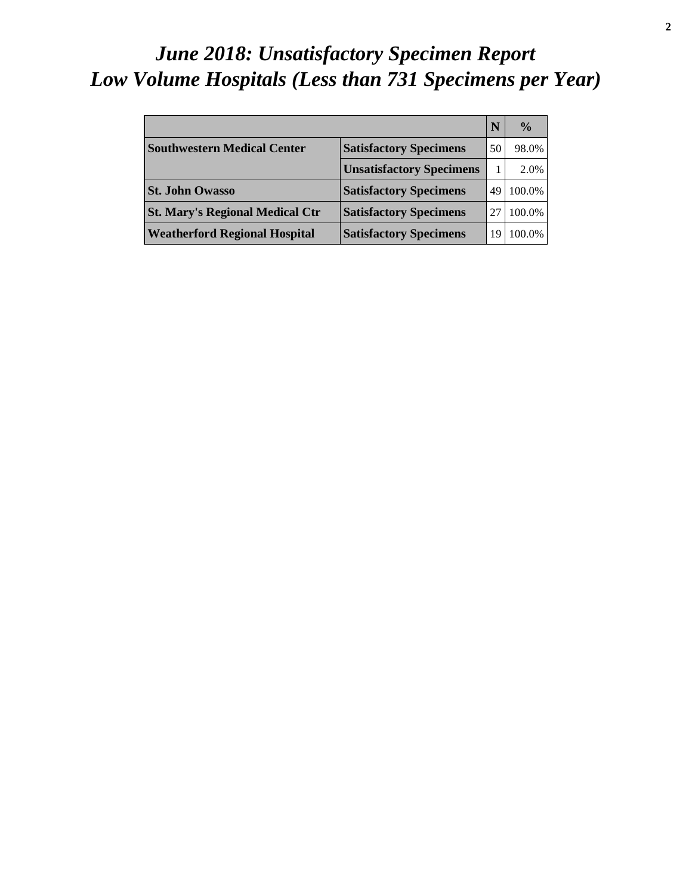# *June 2018: Unsatisfactory Specimen Report Low Volume Hospitals (Less than 731 Specimens per Year)*

|                                        |                                 |    | $\frac{0}{0}$ |
|----------------------------------------|---------------------------------|----|---------------|
| <b>Southwestern Medical Center</b>     | <b>Satisfactory Specimens</b>   | 50 | 98.0%         |
|                                        | <b>Unsatisfactory Specimens</b> |    | 2.0%          |
| <b>St. John Owasso</b>                 | <b>Satisfactory Specimens</b>   | 49 | 100.0%        |
| <b>St. Mary's Regional Medical Ctr</b> | <b>Satisfactory Specimens</b>   |    | 100.0%        |
| <b>Weatherford Regional Hospital</b>   | <b>Satisfactory Specimens</b>   |    | 100.0%        |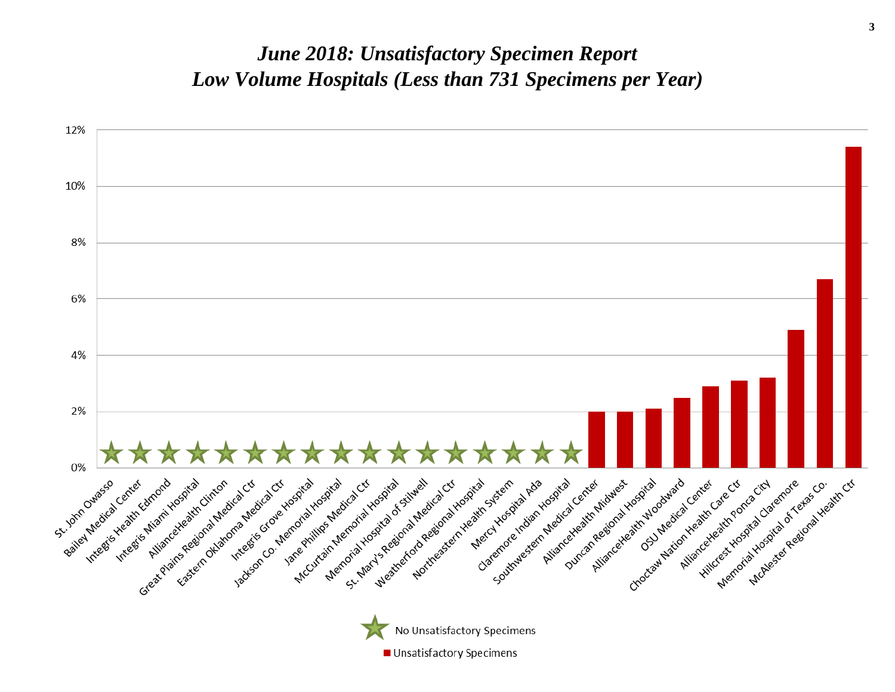#### *June 2018: Unsatisfactory Specimen Report Low Volume Hospitals (Less than 731 Specimens per Year)*

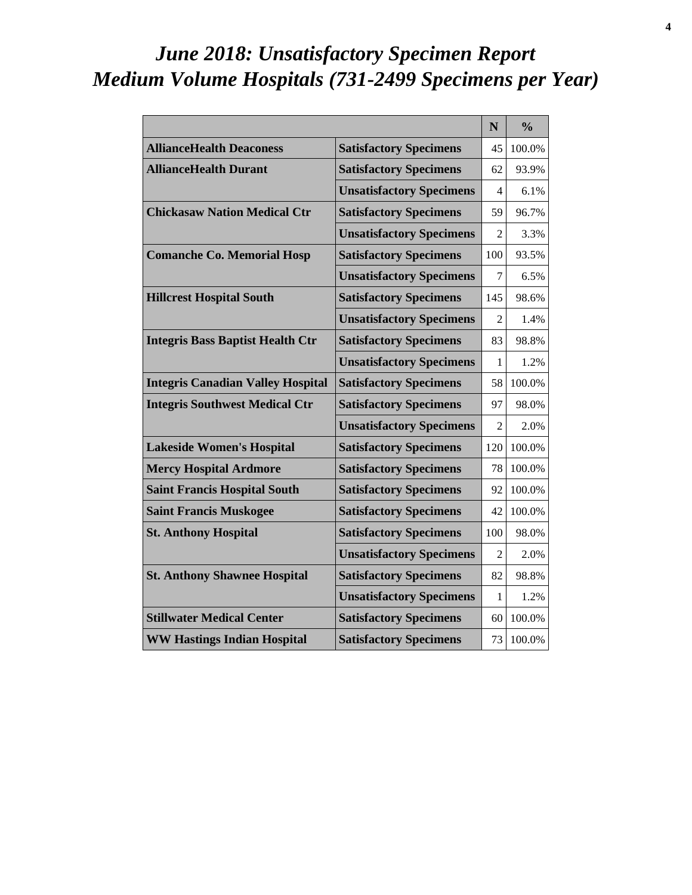# *June 2018: Unsatisfactory Specimen Report Medium Volume Hospitals (731-2499 Specimens per Year)*

|                                          |                                 | N                           | $\frac{0}{0}$ |
|------------------------------------------|---------------------------------|-----------------------------|---------------|
| <b>AllianceHealth Deaconess</b>          | <b>Satisfactory Specimens</b>   | 45                          | 100.0%        |
| <b>AllianceHealth Durant</b>             | <b>Satisfactory Specimens</b>   | 62                          | 93.9%         |
|                                          | <b>Unsatisfactory Specimens</b> | 4                           | 6.1%          |
| <b>Chickasaw Nation Medical Ctr</b>      | <b>Satisfactory Specimens</b>   | 59                          | 96.7%         |
|                                          | <b>Unsatisfactory Specimens</b> | $\mathcal{D}_{\mathcal{L}}$ | 3.3%          |
| <b>Comanche Co. Memorial Hosp</b>        | <b>Satisfactory Specimens</b>   | 100                         | 93.5%         |
|                                          | <b>Unsatisfactory Specimens</b> | 7                           | 6.5%          |
| <b>Hillcrest Hospital South</b>          | <b>Satisfactory Specimens</b>   | 145                         | 98.6%         |
|                                          | <b>Unsatisfactory Specimens</b> | 2                           | 1.4%          |
| <b>Integris Bass Baptist Health Ctr</b>  | <b>Satisfactory Specimens</b>   | 83                          | 98.8%         |
|                                          | <b>Unsatisfactory Specimens</b> | 1                           | 1.2%          |
| <b>Integris Canadian Valley Hospital</b> | <b>Satisfactory Specimens</b>   | 58                          | 100.0%        |
| <b>Integris Southwest Medical Ctr</b>    | <b>Satisfactory Specimens</b>   | 97                          | 98.0%         |
|                                          | <b>Unsatisfactory Specimens</b> | $\mathfrak{D}$              | 2.0%          |
| <b>Lakeside Women's Hospital</b>         | <b>Satisfactory Specimens</b>   | 120                         | 100.0%        |
| <b>Mercy Hospital Ardmore</b>            | <b>Satisfactory Specimens</b>   | 78                          | 100.0%        |
| <b>Saint Francis Hospital South</b>      | <b>Satisfactory Specimens</b>   | 92                          | 100.0%        |
| <b>Saint Francis Muskogee</b>            | <b>Satisfactory Specimens</b>   | 42                          | 100.0%        |
| <b>St. Anthony Hospital</b>              | <b>Satisfactory Specimens</b>   | 100                         | 98.0%         |
|                                          | <b>Unsatisfactory Specimens</b> | $\mathfrak{D}$              | 2.0%          |
| <b>St. Anthony Shawnee Hospital</b>      | <b>Satisfactory Specimens</b>   | 82                          | 98.8%         |
|                                          | <b>Unsatisfactory Specimens</b> | 1                           | 1.2%          |
| <b>Stillwater Medical Center</b>         | <b>Satisfactory Specimens</b>   | 60                          | 100.0%        |
| <b>WW Hastings Indian Hospital</b>       | <b>Satisfactory Specimens</b>   | 73                          | 100.0%        |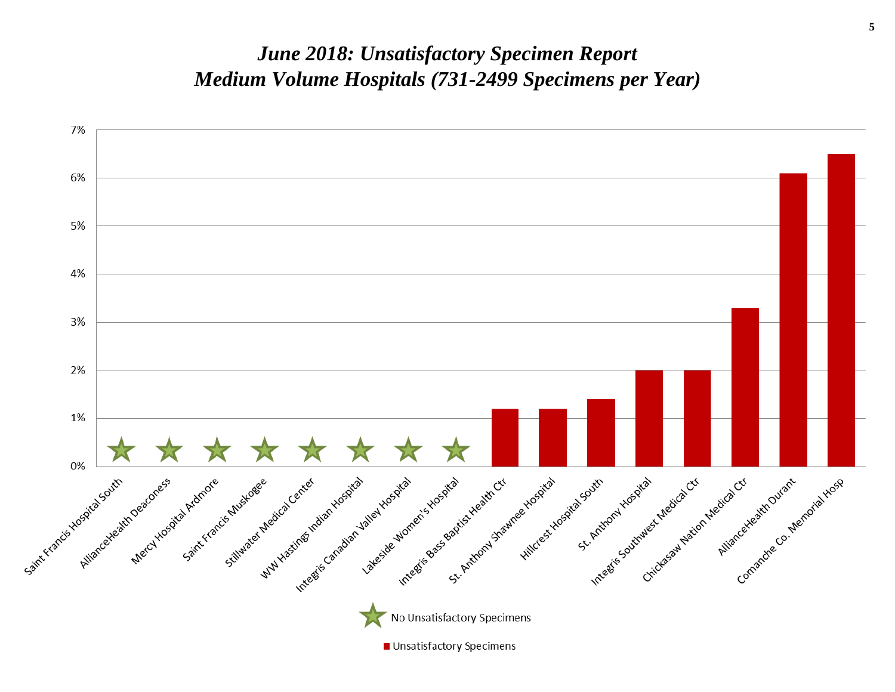#### *June 2018: Unsatisfactory Specimen Report Medium Volume Hospitals (731-2499 Specimens per Year)*

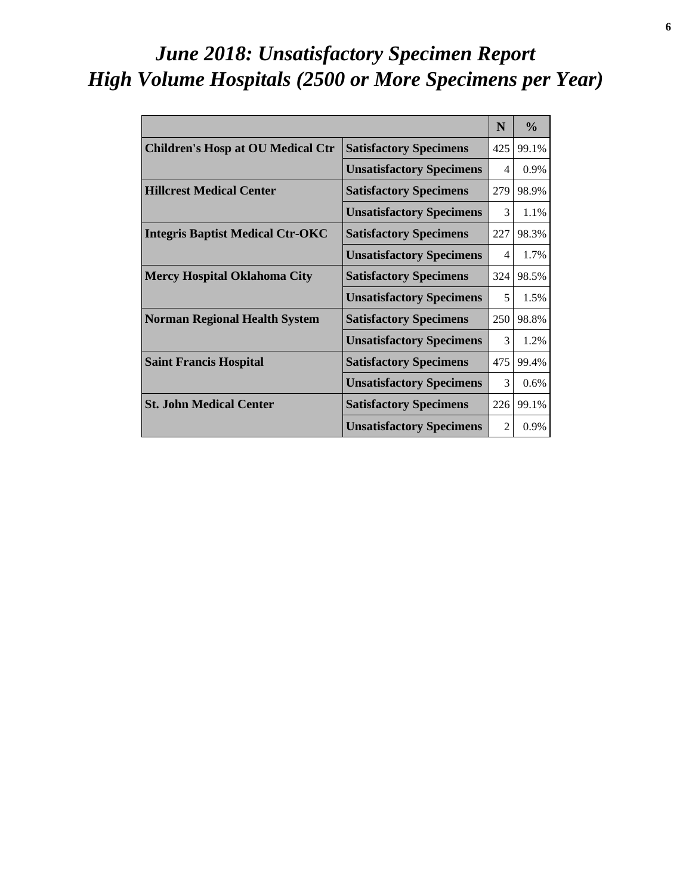# *June 2018: Unsatisfactory Specimen Report High Volume Hospitals (2500 or More Specimens per Year)*

|                                          |                                 | N              | $\frac{0}{2}$ |
|------------------------------------------|---------------------------------|----------------|---------------|
| <b>Children's Hosp at OU Medical Ctr</b> | <b>Satisfactory Specimens</b>   | 425            | 99.1%         |
|                                          | <b>Unsatisfactory Specimens</b> | 4              | 0.9%          |
| <b>Hillcrest Medical Center</b>          | <b>Satisfactory Specimens</b>   | 279            | 98.9%         |
|                                          | <b>Unsatisfactory Specimens</b> | 3              | 1.1%          |
| <b>Integris Baptist Medical Ctr-OKC</b>  | <b>Satisfactory Specimens</b>   | 227            | 98.3%         |
|                                          | <b>Unsatisfactory Specimens</b> | 4              | 1.7%          |
| <b>Mercy Hospital Oklahoma City</b>      | <b>Satisfactory Specimens</b>   | 324            | 98.5%         |
|                                          | <b>Unsatisfactory Specimens</b> | 5              | 1.5%          |
| <b>Norman Regional Health System</b>     | <b>Satisfactory Specimens</b>   | 250            | 98.8%         |
|                                          | <b>Unsatisfactory Specimens</b> | 3              | 1.2%          |
| <b>Saint Francis Hospital</b>            | <b>Satisfactory Specimens</b>   | 475            | 99.4%         |
|                                          | <b>Unsatisfactory Specimens</b> | 3              | 0.6%          |
| <b>St. John Medical Center</b>           | <b>Satisfactory Specimens</b>   | 226            | 99.1%         |
|                                          | <b>Unsatisfactory Specimens</b> | $\mathfrak{D}$ | 0.9%          |